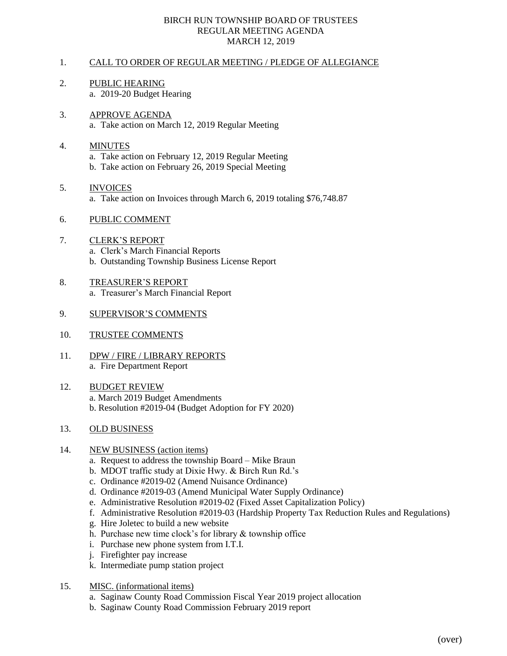## BIRCH RUN TOWNSHIP BOARD OF TRUSTEES REGULAR MEETING AGENDA MARCH 12, 2019

# 1. CALL TO ORDER OF REGULAR MEETING / PLEDGE OF ALLEGIANCE

- 2. PUBLIC HEARING a. 2019-20 Budget Hearing
- 3. APPROVE AGENDA a. Take action on March 12, 2019 Regular Meeting

# 4. MINUTES a. Take action on February 12, 2019 Regular Meeting b. Take action on February 26, 2019 Special Meeting

5. INVOICES a. Take action on Invoices through March 6, 2019 totaling \$76,748.87

#### 6. PUBLIC COMMENT

- 7. CLERK'S REPORT a. Clerk's March Financial Reports b. Outstanding Township Business License Report
- 8. TREASURER'S REPORT a. Treasurer's March Financial Report
- 9. SUPERVISOR'S COMMENTS
- 10. TRUSTEE COMMENTS
- 11. DPW / FIRE / LIBRARY REPORTS a. Fire Department Report
- 12. BUDGET REVIEW a. March 2019 Budget Amendments b. Resolution #2019-04 (Budget Adoption for FY 2020)

# 13. OLD BUSINESS

#### 14. NEW BUSINESS (action items)

- a. Request to address the township Board Mike Braun
- b. MDOT traffic study at Dixie Hwy. & Birch Run Rd.'s
- c. Ordinance #2019-02 (Amend Nuisance Ordinance)
- d. Ordinance #2019-03 (Amend Municipal Water Supply Ordinance)
- e. Administrative Resolution #2019-02 (Fixed Asset Capitalization Policy)
- f. Administrative Resolution #2019-03 (Hardship Property Tax Reduction Rules and Regulations)
- g. Hire Joletec to build a new website
- h. Purchase new time clock's for library & township office
- i. Purchase new phone system from I.T.I.
- j. Firefighter pay increase
- k. Intermediate pump station project
- 15. MISC. (informational items)
	- a. Saginaw County Road Commission Fiscal Year 2019 project allocation
	- b. Saginaw County Road Commission February 2019 report